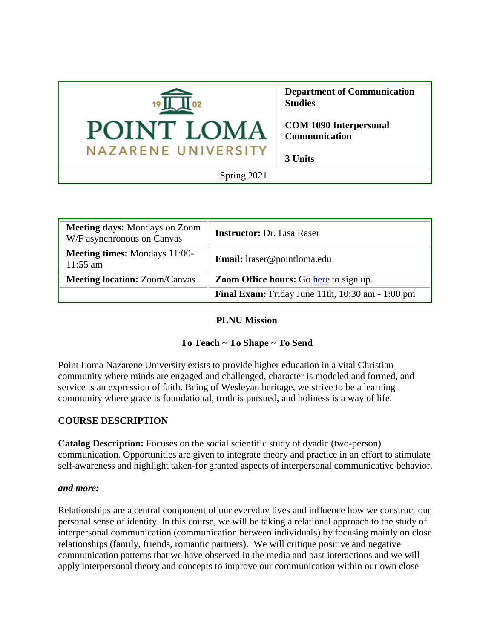

| <b>Meeting days: Mondays on Zoom</b><br>W/F asynchronous on Canvas | <b>Instructor:</b> Dr. Lisa Raser                          |
|--------------------------------------------------------------------|------------------------------------------------------------|
| <b>Meeting times:</b> Mondays 11:00-<br>$11:55 \text{ am}$         | Email: lraser@pointloma.edu                                |
| <b>Meeting location: Zoom/Canvas</b>                               | <b>Zoom Office hours:</b> Go here to sign up.              |
|                                                                    | <b>Final Exam:</b> Friday June 11th, $10:30$ am $-1:00$ pm |

#### **PLNU Mission**

## **To Teach ~ To Shape ~ To Send**

Point Loma Nazarene University exists to provide higher education in a vital Christian community where minds are engaged and challenged, character is modeled and formed, and service is an expression of faith. Being of Wesleyan heritage, we strive to be a learning community where grace is foundational, truth is pursued, and holiness is a way of life.

## **COURSE DESCRIPTION**

**Catalog Description:** Focuses on the social scientific study of dyadic (two-person) communication. Opportunities are given to integrate theory and practice in an effort to stimulate self-awareness and highlight taken-for granted aspects of interpersonal communicative behavior.

#### *and more:*

Relationships are a central component of our everyday lives and influence how we construct our personal sense of identity. In this course, we will be taking a relational approach to the study of interpersonal communication (communication between individuals) by focusing mainly on close relationships (family, friends, romantic partners). We will critique positive and negative communication patterns that we have observed in the media and past interactions and we will apply interpersonal theory and concepts to improve our communication within our own close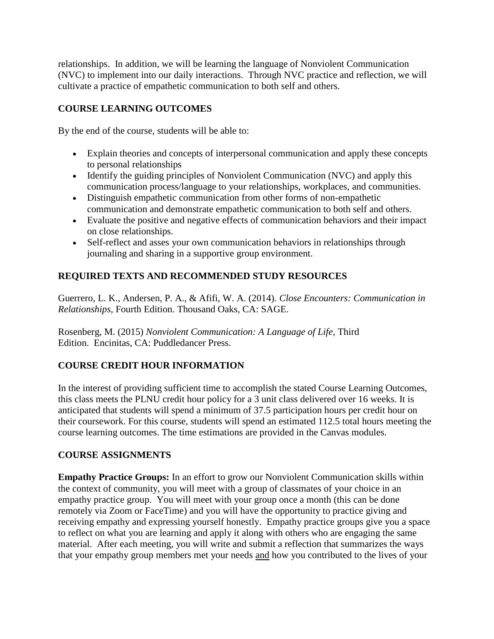relationships. In addition, we will be learning the language of Nonviolent Communication (NVC) to implement into our daily interactions. Through NVC practice and reflection, we will cultivate a practice of empathetic communication to both self and others.

## **COURSE LEARNING OUTCOMES**

By the end of the course, students will be able to:

- Explain theories and concepts of interpersonal communication and apply these concepts to personal relationships
- Identify the guiding principles of Nonviolent Communication (NVC) and apply this communication process/language to your relationships, workplaces, and communities.
- Distinguish empathetic communication from other forms of non-empathetic communication and demonstrate empathetic communication to both self and others.
- Evaluate the positive and negative effects of communication behaviors and their impact on close relationships.
- Self-reflect and asses your own communication behaviors in relationships through journaling and sharing in a supportive group environment.

## **REQUIRED TEXTS AND RECOMMENDED STUDY RESOURCES**

Guerrero, L. K., Andersen, P. A., & Afifi, W. A. (2014). *Close Encounters: Communication in Relationships,* Fourth Edition. Thousand Oaks, CA: SAGE.

Rosenberg, M. (2015) *Nonviolent Communication: A Language of Life*, Third Edition. Encinitas, CA: Puddledancer Press.

# **COURSE CREDIT HOUR INFORMATION**

In the interest of providing sufficient time to accomplish the stated Course Learning Outcomes, this class meets the PLNU credit hour policy for a 3 unit class delivered over 16 weeks. It is anticipated that students will spend a minimum of 37.5 participation hours per credit hour on their coursework. For this course, students will spend an estimated 112.5 total hours meeting the course learning outcomes. The time estimations are provided in the Canvas modules.

# **COURSE ASSIGNMENTS**

**Empathy Practice Groups:** In an effort to grow our Nonviolent Communication skills within the context of community, you will meet with a group of classmates of your choice in an empathy practice group. You will meet with your group once a month (this can be done remotely via Zoom or FaceTime) and you will have the opportunity to practice giving and receiving empathy and expressing yourself honestly. Empathy practice groups give you a space to reflect on what you are learning and apply it along with others who are engaging the same material. After each meeting, you will write and submit a reflection that summarizes the ways that your empathy group members met your needs and how you contributed to the lives of your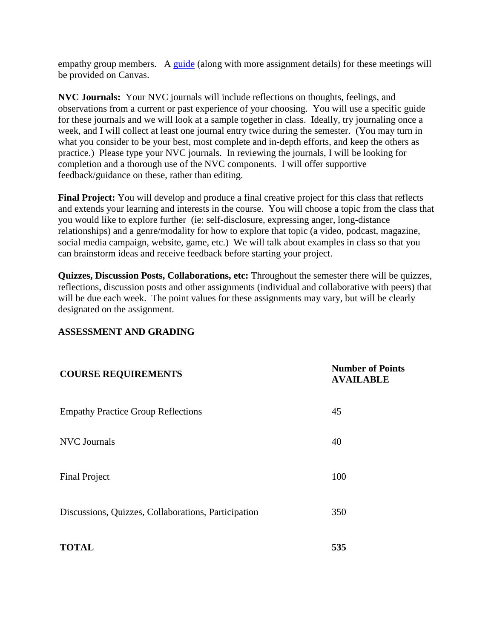empathy group members. A [guide](file://///courses/54736/pages/a-guide-to-empathy-practice-groups) (along with more assignment details) for these meetings will be provided on Canvas.

**NVC Journals:** Your NVC journals will include reflections on thoughts, feelings, and observations from a current or past experience of your choosing. You will use a specific guide for these journals and we will look at a sample together in class. Ideally, try journaling once a week, and I will collect at least one journal entry twice during the semester. (You may turn in what you consider to be your best, most complete and in-depth efforts, and keep the others as practice.) Please type your NVC journals. In reviewing the journals, I will be looking for completion and a thorough use of the NVC components. I will offer supportive feedback/guidance on these, rather than editing.

**Final Project:** You will develop and produce a final creative project for this class that reflects and extends your learning and interests in the course. You will choose a topic from the class that you would like to explore further (ie: self-disclosure, expressing anger, long-distance relationships) and a genre/modality for how to explore that topic (a video, podcast, magazine, social media campaign, website, game, etc.) We will talk about examples in class so that you can brainstorm ideas and receive feedback before starting your project.

**Quizzes, Discussion Posts, Collaborations, etc:** Throughout the semester there will be quizzes, reflections, discussion posts and other assignments (individual and collaborative with peers) that will be due each week. The point values for these assignments may vary, but will be clearly designated on the assignment.

#### **ASSESSMENT AND GRADING**

| <b>COURSE REQUIREMENTS</b>                          | <b>Number of Points</b><br><b>AVAILABLE</b> |
|-----------------------------------------------------|---------------------------------------------|
| <b>Empathy Practice Group Reflections</b>           | 45                                          |
| <b>NVC</b> Journals                                 | 40                                          |
| <b>Final Project</b>                                | 100                                         |
| Discussions, Quizzes, Collaborations, Participation | 350                                         |
| <b>TOTAL</b>                                        | 535                                         |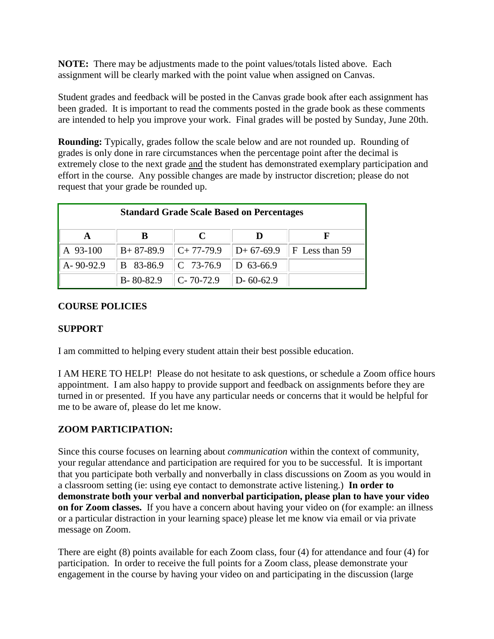**NOTE:** There may be adjustments made to the point values/totals listed above. Each assignment will be clearly marked with the point value when assigned on Canvas.

Student grades and feedback will be posted in the Canvas grade book after each assignment has been graded. It is important to read the comments posted in the grade book as these comments are intended to help you improve your work. Final grades will be posted by Sunday, June 20th.

**Rounding:** Typically, grades follow the scale below and are not rounded up. Rounding of grades is only done in rare circumstances when the percentage point after the decimal is extremely close to the next grade and the student has demonstrated exemplary participation and effort in the course. Any possible changes are made by instructor discretion; please do not request that your grade be rounded up.

| <b>Standard Grade Scale Based on Percentages</b> |                       |             |                    |                             |
|--------------------------------------------------|-----------------------|-------------|--------------------|-----------------------------|
|                                                  |                       |             |                    |                             |
| A 93-100                                         | $B+87-89.9$           | $C+77-79.9$ |                    | $ D+67-69.9 F$ Less than 59 |
| $A - 90 - 92.9$                                  | B 83-86.9   C 73-76.9 |             | $D$ 63-66.9        |                             |
|                                                  | B-80-82.9   C-70-72.9 |             | $\vert$ D- 60-62.9 |                             |

## **COURSE POLICIES**

#### **SUPPORT**

I am committed to helping every student attain their best possible education.

I AM HERE TO HELP! Please do not hesitate to ask questions, or schedule a Zoom office hours appointment. I am also happy to provide support and feedback on assignments before they are turned in or presented. If you have any particular needs or concerns that it would be helpful for me to be aware of, please do let me know.

## **ZOOM PARTICIPATION:**

Since this course focuses on learning about *communication* within the context of community, your regular attendance and participation are required for you to be successful. It is important that you participate both verbally and nonverbally in class discussions on Zoom as you would in a classroom setting (ie: using eye contact to demonstrate active listening.) **In order to demonstrate both your verbal and nonverbal participation, please plan to have your video on for Zoom classes.** If you have a concern about having your video on (for example: an illness or a particular distraction in your learning space) please let me know via email or via private message on Zoom.

There are eight (8) points available for each Zoom class, four (4) for attendance and four (4) for participation. In order to receive the full points for a Zoom class, please demonstrate your engagement in the course by having your video on and participating in the discussion (large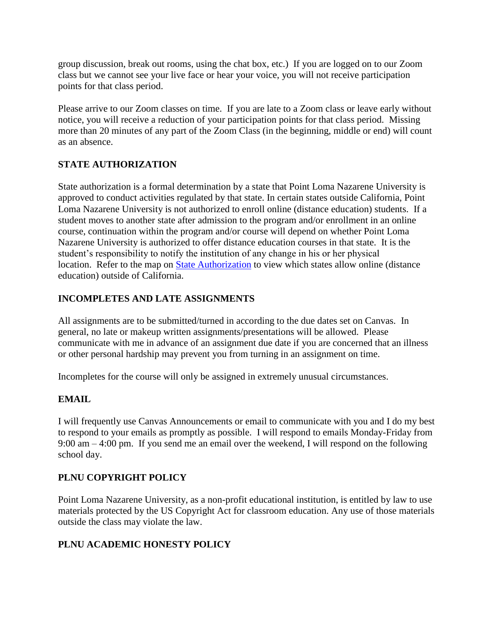group discussion, break out rooms, using the chat box, etc.) If you are logged on to our Zoom class but we cannot see your live face or hear your voice, you will not receive participation points for that class period.

Please arrive to our Zoom classes on time. If you are late to a Zoom class or leave early without notice, you will receive a reduction of your participation points for that class period. Missing more than 20 minutes of any part of the Zoom Class (in the beginning, middle or end) will count as an absence.

## **STATE AUTHORIZATION**

State authorization is a formal determination by a state that Point Loma Nazarene University is approved to conduct activities regulated by that state. In certain states outside California, Point Loma Nazarene University is not authorized to enroll online (distance education) students. If a student moves to another state after admission to the program and/or enrollment in an online course, continuation within the program and/or course will depend on whether Point Loma Nazarene University is authorized to offer distance education courses in that state. It is the student's responsibility to notify the institution of any change in his or her physical location. Refer to the map on [State Authorization](https://www.pointloma.edu/offices/office-institutional-effectiveness-research/disclosures) to view which states allow online (distance education) outside of California.

## **INCOMPLETES AND LATE ASSIGNMENTS**

All assignments are to be submitted/turned in according to the due dates set on Canvas. In general, no late or makeup written assignments/presentations will be allowed. Please communicate with me in advance of an assignment due date if you are concerned that an illness or other personal hardship may prevent you from turning in an assignment on time.

Incompletes for the course will only be assigned in extremely unusual circumstances.

## **EMAIL**

I will frequently use Canvas Announcements or email to communicate with you and I do my best to respond to your emails as promptly as possible. I will respond to emails Monday-Friday from 9:00 am – 4:00 pm. If you send me an email over the weekend, I will respond on the following school day.

## **PLNU COPYRIGHT POLICY**

Point Loma Nazarene University, as a non-profit educational institution, is entitled by law to use materials protected by the US Copyright Act for classroom education. Any use of those materials outside the class may violate the law.

## **PLNU ACADEMIC HONESTY POLICY**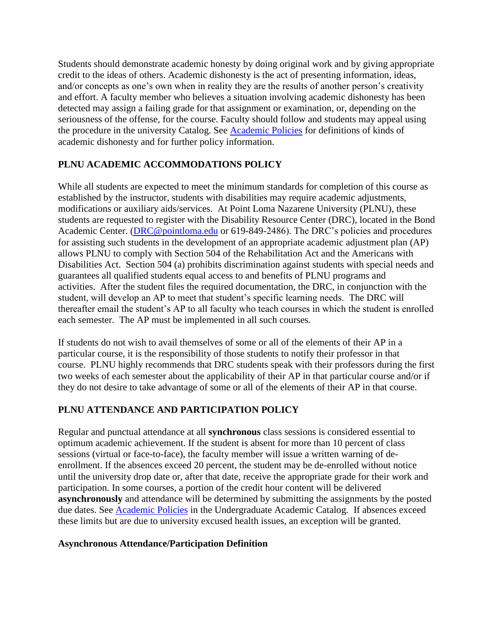Students should demonstrate academic honesty by doing original work and by giving appropriate credit to the ideas of others. Academic dishonesty is the act of presenting information, ideas, and/or concepts as one's own when in reality they are the results of another person's creativity and effort. A faculty member who believes a situation involving academic dishonesty has been detected may assign a failing grade for that assignment or examination, or, depending on the seriousness of the offense, for the course. Faculty should follow and students may appeal using the procedure in the university Catalog. See [Academic Policies](http://catalog.pointloma.edu/content.php?catoid=18&navoid=1278) for definitions of kinds of academic dishonesty and for further policy information.

# **PLNU ACADEMIC ACCOMMODATIONS POLICY**

While all students are expected to meet the minimum standards for completion of this course as established by the instructor, students with disabilities may require academic adjustments, modifications or auxiliary aids/services. At Point Loma Nazarene University (PLNU), these students are requested to register with the Disability Resource Center (DRC), located in the Bond Academic Center. [\(DRC@pointloma.edu](mailto:DRC@pointloma.edu) or 619-849-2486). The DRC's policies and procedures for assisting such students in the development of an appropriate academic adjustment plan (AP) allows PLNU to comply with Section 504 of the Rehabilitation Act and the Americans with Disabilities Act. Section 504 (a) prohibits discrimination against students with special needs and guarantees all qualified students equal access to and benefits of PLNU programs and activities. After the student files the required documentation, the DRC, in conjunction with the student, will develop an AP to meet that student's specific learning needs. The DRC will thereafter email the student's AP to all faculty who teach courses in which the student is enrolled each semester. The AP must be implemented in all such courses.

If students do not wish to avail themselves of some or all of the elements of their AP in a particular course, it is the responsibility of those students to notify their professor in that course. PLNU highly recommends that DRC students speak with their professors during the first two weeks of each semester about the applicability of their AP in that particular course and/or if they do not desire to take advantage of some or all of the elements of their AP in that course.

## **PLNU ATTENDANCE AND PARTICIPATION POLICY**

Regular and punctual attendance at all **synchronous** class sessions is considered essential to optimum academic achievement. If the student is absent for more than 10 percent of class sessions (virtual or face-to-face), the faculty member will issue a written warning of deenrollment. If the absences exceed 20 percent, the student may be de-enrolled without notice until the university drop date or, after that date, receive the appropriate grade for their work and participation. In some courses, a portion of the credit hour content will be delivered **asynchronously** and attendance will be determined by submitting the assignments by the posted due dates. See **Academic Policies** in the Undergraduate Academic Catalog. If absences exceed these limits but are due to university excused health issues, an exception will be granted.

## **Asynchronous Attendance/Participation Definition**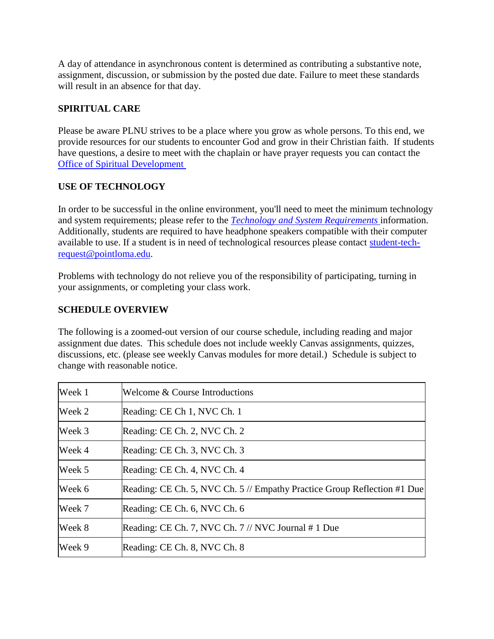A day of attendance in asynchronous content is determined as contributing a substantive note, assignment, discussion, or submission by the posted due date. Failure to meet these standards will result in an absence for that day.

## **SPIRITUAL CARE**

Please be aware PLNU strives to be a place where you grow as whole persons. To this end, we provide resources for our students to encounter God and grow in their Christian faith. If students have questions, a desire to meet with the chaplain or have prayer requests you can contact the [Office of Spiritual Development](https://www.pointloma.edu/offices/spiritual-development)

## **USE OF TECHNOLOGY**

In order to be successful in the online environment, you'll need to meet the minimum technology and system requirements; please refer to the *[Technology and System Requirements](https://help.pointloma.edu/TDClient/1808/Portal/KB/ArticleDet?ID=108349)* information. Additionally, students are required to have headphone speakers compatible with their computer available to use. If a student is in need of technological resources please contact [student-tech](mailto:student-tech-request@pointloma.edu)[request@pointloma.edu.](mailto:student-tech-request@pointloma.edu)

Problems with technology do not relieve you of the responsibility of participating, turning in your assignments, or completing your class work.

## **SCHEDULE OVERVIEW**

The following is a zoomed-out version of our course schedule, including reading and major assignment due dates. This schedule does not include weekly Canvas assignments, quizzes, discussions, etc. (please see weekly Canvas modules for more detail.) Schedule is subject to change with reasonable notice.

| Week 1 | Welcome & Course Introductions                                           |
|--------|--------------------------------------------------------------------------|
| Week 2 | Reading: CE Ch 1, NVC Ch. 1                                              |
| Week 3 | Reading: CE Ch. 2, NVC Ch. 2                                             |
| Week 4 | Reading: CE Ch. 3, NVC Ch. 3                                             |
| Week 5 | Reading: CE Ch. 4, NVC Ch. 4                                             |
| Week 6 | Reading: CE Ch. 5, NVC Ch. 5 // Empathy Practice Group Reflection #1 Due |
| Week 7 | Reading: CE Ch. 6, NVC Ch. 6                                             |
| Week 8 | Reading: CE Ch. 7, NVC Ch. $7$ // NVC Journal # 1 Due                    |
| Week 9 | Reading: CE Ch. 8, NVC Ch. 8                                             |